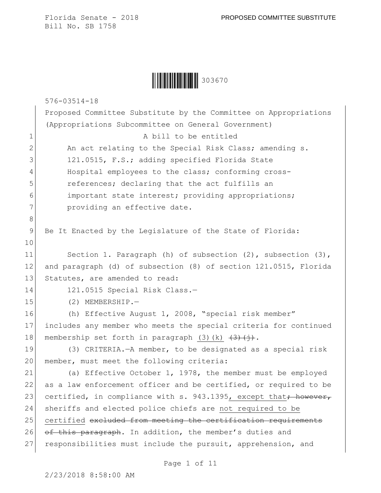|  | 303670 |
|--|--------|
|--|--------|

|              | $576 - 03514 - 18$                                                                            |
|--------------|-----------------------------------------------------------------------------------------------|
|              | Proposed Committee Substitute by the Committee on Appropriations                              |
|              | (Appropriations Subcommittee on General Government)                                           |
| $\mathbf 1$  | A bill to be entitled                                                                         |
| $\mathbf{2}$ | An act relating to the Special Risk Class; amending s.                                        |
| 3            | 121.0515, F.S.; adding specified Florida State                                                |
| 4            | Hospital employees to the class; conforming cross-                                            |
| 5            | references; declaring that the act fulfills an                                                |
| 6            | important state interest; providing appropriations;                                           |
| 7            | providing an effective date.                                                                  |
| $\,8\,$      |                                                                                               |
| $\mathsf 9$  | Be It Enacted by the Legislature of the State of Florida:                                     |
| 10           |                                                                                               |
| 11           | Section 1. Paragraph (h) of subsection $(2)$ , subsection $(3)$ ,                             |
| 12           | and paragraph (d) of subsection (8) of section 121.0515, Florida                              |
| 13           | Statutes, are amended to read:                                                                |
| 14           | 121.0515 Special Risk Class.-                                                                 |
| 15           | $(2)$ MEMBERSHIP.-                                                                            |
| 16           | (h) Effective August 1, 2008, "special risk member"                                           |
| 17           | includes any member who meets the special criteria for continued                              |
| 18           | membership set forth in paragraph (3)(k) $\left(\frac{3}{4}\right)\left(\frac{1}{2}\right)$ . |
| 19           | (3) CRITERIA. - A member, to be designated as a special risk                                  |
| 20           | member, must meet the following criteria:                                                     |
| 21           | (a) Effective October 1, 1978, the member must be employed                                    |
| 22           | as a law enforcement officer and be certified, or required to be                              |
| 23           | certified, in compliance with s. 943.1395, except that; however,                              |
| 24           | sheriffs and elected police chiefs are not required to be                                     |
| 25           | certified excluded from meeting the certification requirements                                |
| 26           | of this paragraph. In addition, the member's duties and                                       |
| 27           | responsibilities must include the pursuit, apprehension, and                                  |
|              |                                                                                               |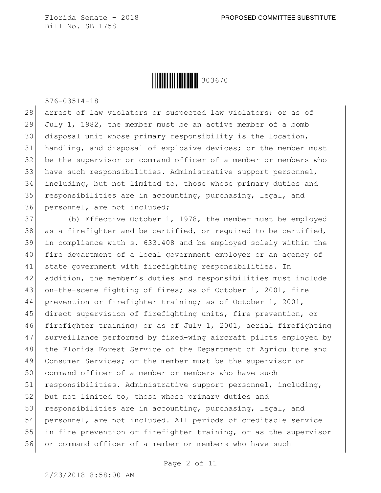

576-03514-18

28 arrest of law violators or suspected law violators; or as of 29 July 1, 1982, the member must be an active member of a bomb 30 disposal unit whose primary responsibility is the location, 31 handling, and disposal of explosive devices; or the member must 32 be the supervisor or command officer of a member or members who 33 have such responsibilities. Administrative support personnel, 34 including, but not limited to, those whose primary duties and 35 responsibilities are in accounting, purchasing, legal, and 36 personnel, are not included;

 (b) Effective October 1, 1978, the member must be employed 38 as a firefighter and be certified, or required to be certified, in compliance with s. 633.408 and be employed solely within the fire department of a local government employer or an agency of state government with firefighting responsibilities. In addition, the member's duties and responsibilities must include 43 on-the-scene fighting of fires; as of October 1, 2001, fire prevention or firefighter training; as of October 1, 2001, direct supervision of firefighting units, fire prevention, or firefighter training; or as of July 1, 2001, aerial firefighting surveillance performed by fixed-wing aircraft pilots employed by 48 the Florida Forest Service of the Department of Agriculture and 49 Consumer Services; or the member must be the supervisor or command officer of a member or members who have such 51 responsibilities. Administrative support personnel, including, 52 but not limited to, those whose primary duties and 53 responsibilities are in accounting, purchasing, legal, and personnel, are not included. All periods of creditable service in fire prevention or firefighter training, or as the supervisor or command officer of a member or members who have such

Page 2 of 11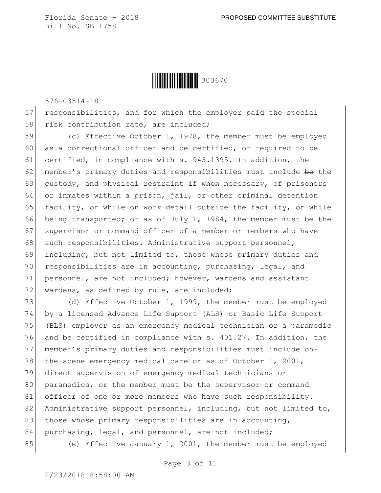Ì303670ÇÎ303670

576-03514-18

57 responsibilities, and for which the employer paid the special 58 risk contribution rate, are included;

59 (c) Effective October 1, 1978, the member must be employed 60 as a correctional officer and be certified, or required to be 61 certified, in compliance with s. 943.1395. In addition, the 62 member's primary duties and responsibilities must include be the 63 custody, and physical restraint if when necessary, of prisoners 64 or inmates within a prison, jail, or other criminal detention 65 facility, or while on work detail outside the facility, or while 66 being transported; or as of July 1, 1984, the member must be the 67 supervisor or command officer of a member or members who have 68 such responsibilities. Administrative support personnel, 69 including, but not limited to, those whose primary duties and 70 responsibilities are in accounting, purchasing, legal, and 71 personnel, are not included; however, wardens and assistant 72 wardens, as defined by rule, are included;

73 (d) Effective October 1, 1999, the member must be employed 74 by a licensed Advance Life Support (ALS) or Basic Life Support 75 (BLS) employer as an emergency medical technician or a paramedic 76 and be certified in compliance with s. 401.27. In addition, the 77 member's primary duties and responsibilities must include on-78 the-scene emergency medical care or as of October 1, 2001, 79 direct supervision of emergency medical technicians or 80 paramedics, or the member must be the supervisor or command 81 officer of one or more members who have such responsibility. 82 Administrative support personnel, including, but not limited to, 83 those whose primary responsibilities are in accounting, 84 purchasing, legal, and personnel, are not included;

85 (e) Effective January 1, 2001, the member must be employed

Page 3 of 11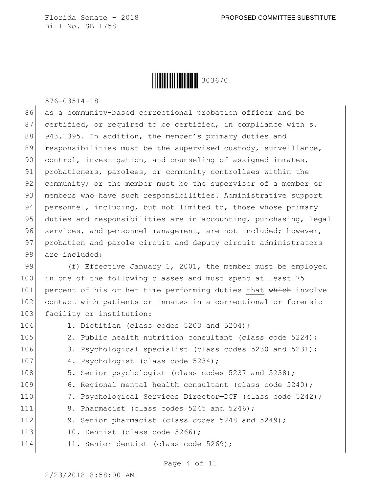Ì303670ÇÎ303670

576-03514-18

86 as a community-based correctional probation officer and be 87 certified, or required to be certified, in compliance with s. 88 943.1395. In addition, the member's primary duties and 89 responsibilities must be the supervised custody, surveillance, 90 control, investigation, and counseling of assigned inmates, 91 probationers, parolees, or community controllees within the 92 community; or the member must be the supervisor of a member or 93 members who have such responsibilities. Administrative support 94 personnel, including, but not limited to, those whose primary 95 duties and responsibilities are in accounting, purchasing, legal 96 services, and personnel management, are not included; however, 97 probation and parole circuit and deputy circuit administrators 98 are included:

99 (f) Effective January 1, 2001, the member must be employed 100 in one of the following classes and must spend at least 75 101 percent of his or her time performing duties that which involve 102 contact with patients or inmates in a correctional or forensic 103 facility or institution:

104 1. Dietitian (class codes 5203 and 5204): 105 2. Public health nutrition consultant (class code 5224); 106 3. Psychological specialist (class codes 5230 and 5231); 107 4. Psychologist (class code 5234); 108 5. Senior psychologist (class codes 5237 and 5238); 109 6. Regional mental health consultant (class code 5240); 110 7. Psychological Services Director-DCF (class code 5242); 111 8. Pharmacist (class codes 5245 and 5246); 112 9. Senior pharmacist (class codes 5248 and 5249); 113 10. Dentist (class code 5266); 114 11. Senior dentist (class code 5269);

Page 4 of 11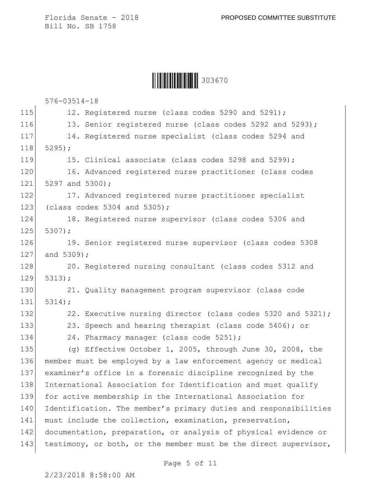Ì303670ÇÎ303670

|     | $576 - 03514 - 18$                                               |
|-----|------------------------------------------------------------------|
| 115 | 12. Registered nurse (class codes 5290 and 5291);                |
| 116 | 13. Senior registered nurse (class codes 5292 and 5293);         |
| 117 | 14. Registered nurse specialist (class codes 5294 and            |
| 118 | $5295$ ;                                                         |
| 119 | 15. Clinical associate (class codes 5298 and 5299);              |
| 120 | 16. Advanced registered nurse practitioner (class codes          |
| 121 | 5297 and 5300);                                                  |
| 122 | 17. Advanced registered nurse practitioner specialist            |
| 123 | (class codes $5304$ and $5305$ );                                |
| 124 | 18. Registered nurse supervisor (class codes 5306 and            |
| 125 | 5307);                                                           |
| 126 | 19. Senior registered nurse supervisor (class codes 5308         |
| 127 | and 5309);                                                       |
| 128 | 20. Registered nursing consultant (class codes 5312 and          |
| 129 | 5313;                                                            |
| 130 | 21. Quality management program supervisor (class code            |
| 131 | 5314;                                                            |
| 132 | 22. Executive nursing director (class codes 5320 and 5321);      |
| 133 | 23. Speech and hearing therapist (class code 5406); or           |
| 134 | 24. Pharmacy manager (class code 5251);                          |
| 135 | (g) Effective October 1, 2005, through June 30, 2008, the        |
| 136 | member must be employed by a law enforcement agency or medical   |
| 137 | examiner's office in a forensic discipline recognized by the     |
| 138 | International Association for Identification and must qualify    |
| 139 | for active membership in the International Association for       |
| 140 | Identification. The member's primary duties and responsibilities |
| 141 | must include the collection, examination, preservation,          |
| 142 | documentation, preparation, or analysis of physical evidence or  |
| 143 | testimony, or both, or the member must be the direct supervisor, |
|     |                                                                  |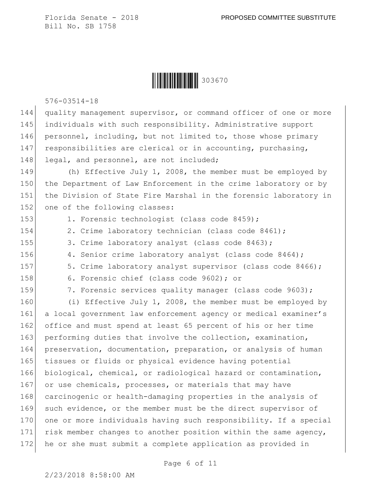

576-03514-18

144 quality management supervisor, or command officer of one or more 145 individuals with such responsibility. Administrative support 146 personnel, including, but not limited to, those whose primary 147 responsibilities are clerical or in accounting, purchasing, 148 legal, and personnel, are not included;

149 (h) Effective July 1, 2008, the member must be employed by 150 the Department of Law Enforcement in the crime laboratory or by 151 the Division of State Fire Marshal in the forensic laboratory in 152 one of the following classes:

153 1. Forensic technologist (class code 8459);

- 154 2. Crime laboratory technician (class code 8461);
- 155 3. Crime laboratory analyst (class code 8463);
- 156 4. Senior crime laboratory analyst (class code 8464);
- 157 5. Crime laboratory analyst supervisor (class code 8466);
- 158 6. Forensic chief (class code 9602); or
- 

159 7. Forensic services quality manager (class code 9603);

160 (i) Effective July 1, 2008, the member must be employed by 161 a local government law enforcement agency or medical examiner's 162 office and must spend at least 65 percent of his or her time 163 performing duties that involve the collection, examination, 164 preservation, documentation, preparation, or analysis of human 165 tissues or fluids or physical evidence having potential 166 biological, chemical, or radiological hazard or contamination, 167 or use chemicals, processes, or materials that may have 168 carcinogenic or health-damaging properties in the analysis of 169 such evidence, or the member must be the direct supervisor of 170 one or more individuals having such responsibility. If a special 171 risk member changes to another position within the same agency, 172 he or she must submit a complete application as provided in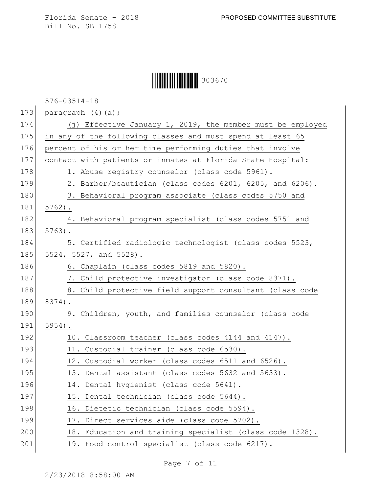Ì303670ÇÎ303670

576-03514-18

173 paragraph  $(4)(a);$ 

| 174 | (j) Effective January 1, 2019, the member must be employed  |
|-----|-------------------------------------------------------------|
| 175 | in any of the following classes and must spend at least 65  |
| 176 | percent of his or her time performing duties that involve   |
| 177 | contact with patients or inmates at Florida State Hospital: |
| 178 | 1. Abuse registry counselor (class code 5961).              |
| 179 | 2. Barber/beautician (class codes 6201, 6205, and 6206).    |
| 180 | 3. Behavioral program associate (class codes 5750 and       |
| 181 | $5762$ ).                                                   |
| 182 | 4. Behavioral program specialist (class codes 5751 and      |
| 183 | $5763$ ).                                                   |
| 184 | 5. Certified radiologic technologist (class codes 5523,     |
| 185 | 5524, 5527, and 5528).                                      |
| 186 | 6. Chaplain (class codes 5819 and 5820).                    |
| 187 | 7. Child protective investigator (class code 8371).         |
| 188 | 8. Child protective field support consultant (class code    |
| 189 | 8374).                                                      |
| 190 | 9. Children, youth, and families counselor (class code      |
| 191 | $5954$ ).                                                   |
| 192 | 10. Classroom teacher (class codes 4144 and 4147).          |
| 193 | 11. Custodial trainer (class code 6530).                    |
| 194 | 12. Custodial worker (class codes 6511 and 6526).           |
| 195 | 13. Dental assistant (class codes 5632 and 5633).           |
| 196 | 14. Dental hygienist (class code 5641).                     |
| 197 | 15. Dental technician (class code 5644).                    |
| 198 | 16. Dietetic technician (class code 5594).                  |
| 199 | 17. Direct services aide (class code 5702).                 |
| 200 | 18. Education and training specialist (class code 1328).    |
| 201 | 19. Food control specialist (class code 6217).              |
|     |                                                             |

Page 7 of 11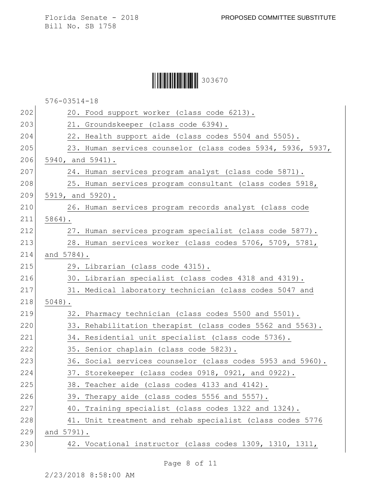Ì303670ÇÎ303670

|     | $576 - 03514 - 18$                                          |
|-----|-------------------------------------------------------------|
| 202 | 20. Food support worker (class code 6213).                  |
| 203 | 21. Groundskeeper (class code 6394).                        |
| 204 | 22. Health support aide (class codes 5504 and 5505).        |
| 205 | 23. Human services counselor (class codes 5934, 5936, 5937, |
| 206 | 5940, and 5941).                                            |
| 207 | 24. Human services program analyst (class code 5871).       |
| 208 | 25. Human services program consultant (class codes 5918,    |
| 209 | 5919, and 5920).                                            |
| 210 | 26. Human services program records analyst (class code      |
| 211 | $5864$ ).                                                   |
| 212 | 27. Human services program specialist (class code 5877).    |
| 213 | 28. Human services worker (class codes 5706, 5709, 5781,    |
| 214 | and 5784).                                                  |
| 215 | 29. Librarian (class code 4315).                            |
| 216 | 30. Librarian specialist (class codes 4318 and 4319).       |
| 217 | 31. Medical laboratory technician (class codes 5047 and     |
| 218 | $5048$ ).                                                   |
| 219 | 32. Pharmacy technician (class codes 5500 and 5501).        |
| 220 | 33. Rehabilitation therapist (class codes 5562 and 5563).   |
| 221 | 34. Residential unit specialist (class code 5736).          |
| 222 | 35. Senior chaplain (class code 5823).                      |
| 223 | 36. Social services counselor (class codes 5953 and 5960).  |
| 224 | 37. Storekeeper (class codes 0918, 0921, and 0922).         |
| 225 | 38. Teacher aide (class codes 4133 and 4142).               |
| 226 | 39. Therapy aide (class codes 5556 and 5557).               |
| 227 | 40. Training specialist (class codes 1322 and 1324).        |
| 228 | 41. Unit treatment and rehab specialist (class codes 5776   |
| 229 | and 5791).                                                  |
| 230 | 42. Vocational instructor (class codes 1309, 1310, 1311,    |

Page 8 of 11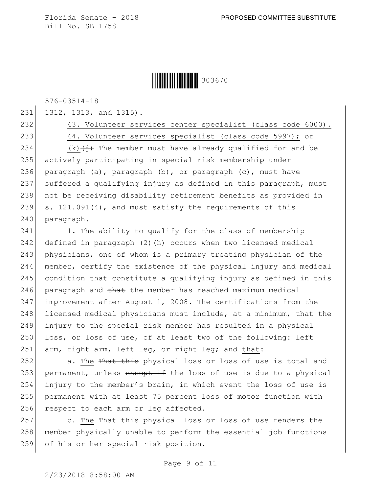Ì303670ÇÎ303670

576-03514-18

231 1312, 1313, and 1315).

232 43. Volunteer services center specialist (class code 6000).

233 44. Volunteer services specialist (class code 5997); or

234 (k) $\leftarrow$  (k)  $\leftarrow$  The member must have already qualified for and be 235 actively participating in special risk membership under 236 paragraph (a), paragraph  $(b)$ , or paragraph (c), must have 237 suffered a qualifying injury as defined in this paragraph, must 238 not be receiving disability retirement benefits as provided in 239 s.  $121.091(4)$ , and must satisfy the requirements of this 240 paragraph.

241 1. The ability to qualify for the class of membership 242 defined in paragraph (2)(h) occurs when two licensed medical 243 physicians, one of whom is a primary treating physician of the 244 member, certify the existence of the physical injury and medical 245 condition that constitute a qualifying injury as defined in this 246 paragraph and  $t$ hat the member has reached maximum medical 247 improvement after August 1, 2008. The certifications from the 248 licensed medical physicians must include, at a minimum, that the 249 injury to the special risk member has resulted in a physical 250 loss, or loss of use, of at least two of the following: left 251 arm, right arm, left leg, or right leg; and that:

252 a. The That this physical loss or loss of use is total and 253 permanent, unless except if the loss of use is due to a physical 254 injury to the member's brain, in which event the loss of use is 255 permanent with at least 75 percent loss of motor function with 256 respect to each arm or leg affected.

257 b. The That this physical loss or loss of use renders the 258 member physically unable to perform the essential job functions 259 of his or her special risk position.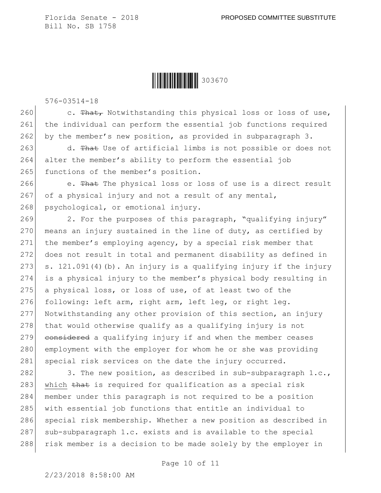Ì303670ÇÎ303670

576-03514-18

260 c. That, Notwithstanding this physical loss or loss of use, 261 the individual can perform the essential job functions required 262 by the member's new position, as provided in subparagraph 3.

263 d. That Use of artificial limbs is not possible or does not 264 alter the member's ability to perform the essential job 265 functions of the member's position.

266 e. That The physical loss or loss of use is a direct result 267 of a physical injury and not a result of any mental, 268 psychological, or emotional injury.

 $269$  2. For the purposes of this paragraph, "qualifying injury" 270 means an injury sustained in the line of duty, as certified by 271 the member's employing agency, by a special risk member that 272 does not result in total and permanent disability as defined in 273 s. 121.091(4)(b). An injury is a qualifying injury if the injury 274 is a physical injury to the member's physical body resulting in 275 a physical loss, or loss of use, of at least two of the 276 following: left arm, right arm, left leg, or right leg. 277 Notwithstanding any other provision of this section, an injury  $278$  that would otherwise qualify as a qualifying injury is not 279 considered a qualifying injury if and when the member ceases 280 employment with the employer for whom he or she was providing 281 special risk services on the date the injury occurred.

282 3. The new position, as described in sub-subparagraph 1.c., 283 which that is required for qualification as a special risk 284 member under this paragraph is not required to be a position 285 with essential job functions that entitle an individual to 286 special risk membership. Whether a new position as described in  $287$  sub-subparagraph 1.c. exists and is available to the special 288 risk member is a decision to be made solely by the employer in